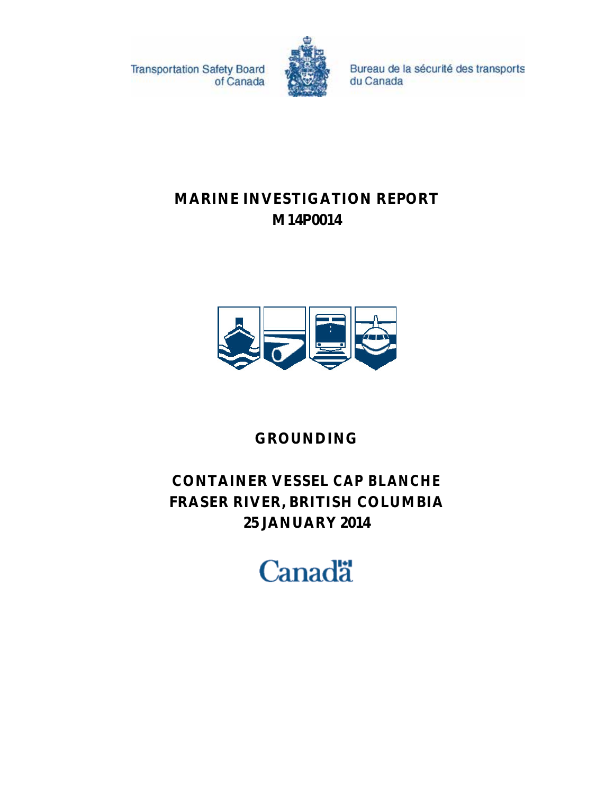**Transportation Safety Board** of Canada



Bureau de la sécurité des transports du Canada

# **MARINE INVESTIGATION REPORT M14P0014**



# **GROUNDING**

# **CONTAINER VESSEL** *CAP BLANCHE* **FRASER RIVER, BRITISH COLUMBIA 25 JANUARY 2014**

# **Canadä**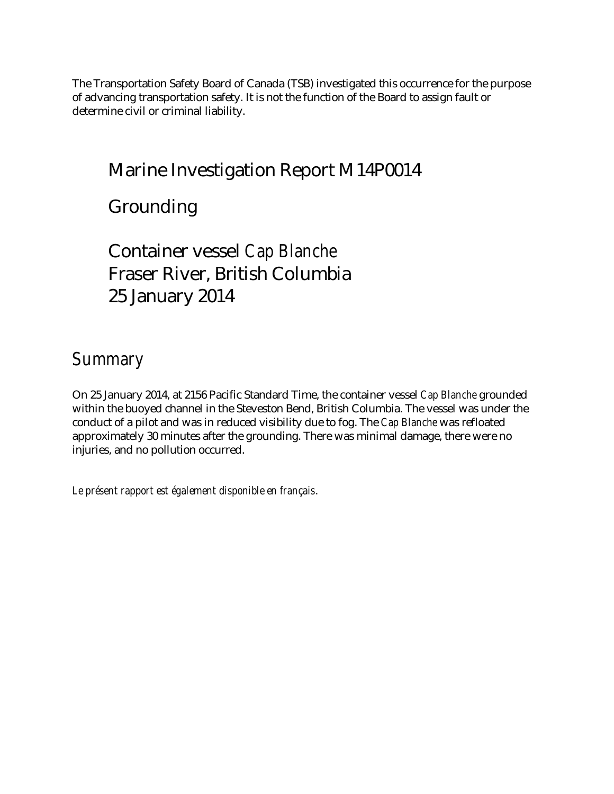The Transportation Safety Board of Canada (TSB) investigated this occurrence for the purpose of advancing transportation safety. It is not the function of the Board to assign fault or determine civil or criminal liability.

# Marine Investigation Report M14P0014

Grounding

# Container vessel *Cap Blanche* Fraser River, British Columbia 25 January 2014

*Summary*

On 25 January 2014, at 2156 Pacific Standard Time, the container vessel *Cap Blanche* grounded within the buoyed channel in the Steveston Bend, British Columbia. The vessel was under the conduct of a pilot and was in reduced visibility due to fog. The *Cap Blanche* was refloated approximately 30 minutes after the grounding. There was minimal damage, there were no injuries, and no pollution occurred.

*Le présent rapport est également disponible en français*.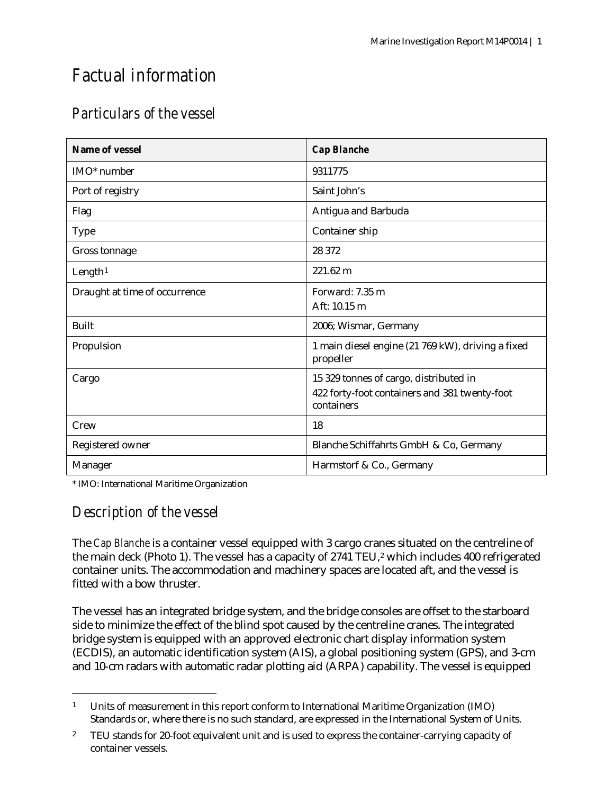# *Factual information*

# *Particulars of the vessel*

| <b>Name of vessel</b>         | <b>Cap Blanche</b>                                             |
|-------------------------------|----------------------------------------------------------------|
| IMO* number                   | 9311775                                                        |
| Port of registry              | Saint John's                                                   |
| Flag                          | Antigua and Barbuda                                            |
| <b>Type</b>                   | Container ship                                                 |
| <b>Gross tonnage</b>          | 28 372                                                         |
| Length <sup>1</sup>           | $221.62 \text{ m}$                                             |
| Draught at time of occurrence | Forward: 7.35 m                                                |
|                               | Aft: 10.15 m                                                   |
| <b>Built</b>                  | 2006; Wismar, Germany                                          |
| Propulsion                    | 1 main diesel engine (21 769 kW), driving a fixed<br>propeller |
| Cargo                         | 15 329 tonnes of cargo, distributed in                         |
|                               | 422 forty-foot containers and 381 twenty-foot<br>containers    |
| Crew                          | 18                                                             |
| Registered owner              | Blanche Schiffahrts GmbH & Co, Germany                         |
| <b>Manager</b>                | Harmstorf & Co., Germany                                       |

\* IMO: International Maritime Organization

### *Description of the vessel*

 $\overline{a}$ 

The *Cap Blanche* is a container vessel equipped with 3 cargo cranes situated on the centreline of the main deck (Photo 1). The vessel has a capacity of [2](#page-2-1)741 TEU,<sup>2</sup> which includes 400 refrigerated container units. The accommodation and machinery spaces are located aft, and the vessel is fitted with a bow thruster.

The vessel has an integrated bridge system, and the bridge consoles are offset to the starboard side to minimize the effect of the blind spot caused by the centreline cranes. The integrated bridge system is equipped with an approved electronic chart display information system (ECDIS), an automatic identification system (AIS), a global positioning system (GPS), and 3-cm and 10-cm radars with automatic radar plotting aid (ARPA) capability. The vessel is equipped

<span id="page-2-0"></span><sup>1</sup> Units of measurement in this report conform to International Maritime Organization (IMO) Standards or, where there is no such standard, are expressed in the International System of Units.

<span id="page-2-1"></span><sup>&</sup>lt;sup>2</sup> TEU stands for 20-foot equivalent unit and is used to express the container-carrying capacity of container vessels.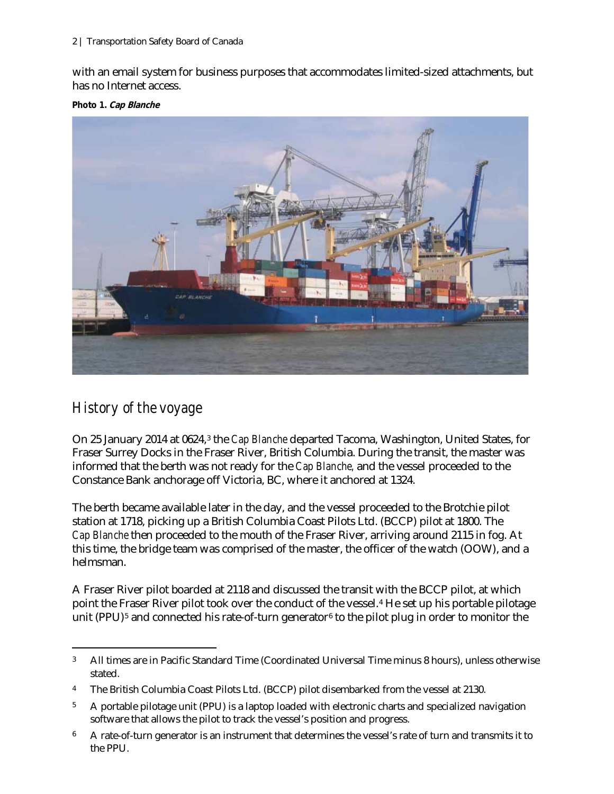with an email system for business purposes that accommodates limited-sized attachments, but has no Internet access.

**Photo 1. Cap Blanche**



### *History of the voyage*

 $\ddot{\phantom{a}}$ 

On 25 January 2014 at 0624,[3](#page-3-0) the *Cap Blanche* departed Tacoma, Washington, United States, for Fraser Surrey Docks in the Fraser River, British Columbia. During the transit, the master was informed that the berth was not ready for the *Cap Blanche,* and the vessel proceeded to the Constance Bank anchorage off Victoria, BC, where it anchored at 1324.

The berth became available later in the day, and the vessel proceeded to the Brotchie pilot station at 1718, picking up a British Columbia Coast Pilots Ltd. (BCCP) pilot at 1800. The *Cap Blanche* then proceeded to the mouth of the Fraser River, arriving around 2115 in fog. At this time, the bridge team was comprised of the master, the officer of the watch (OOW), and a helmsman.

A Fraser River pilot boarded at 2118 and discussed the transit with the BCCP pilot, at which point the Fraser River pilot took over the conduct of the vessel.[4](#page-3-1) He set up his portable pilotage unit (PPU)<sup>[5](#page-3-2)</sup> and connected his rate-of-turn generator<sup>[6](#page-3-3)</sup> to the pilot plug in order to monitor the

<span id="page-3-0"></span><sup>3</sup> All times are in Pacific Standard Time (Coordinated Universal Time minus 8 hours), unless otherwise stated.

<span id="page-3-1"></span><sup>4</sup> The British Columbia Coast Pilots Ltd. (BCCP) pilot disembarked from the vessel at 2130.

<span id="page-3-2"></span><sup>5</sup> A portable pilotage unit (PPU) is a laptop loaded with electronic charts and specialized navigation software that allows the pilot to track the vessel's position and progress.

<span id="page-3-3"></span><sup>6</sup> A rate-of-turn generator is an instrument that determines the vessel's rate of turn and transmits it to the PPU.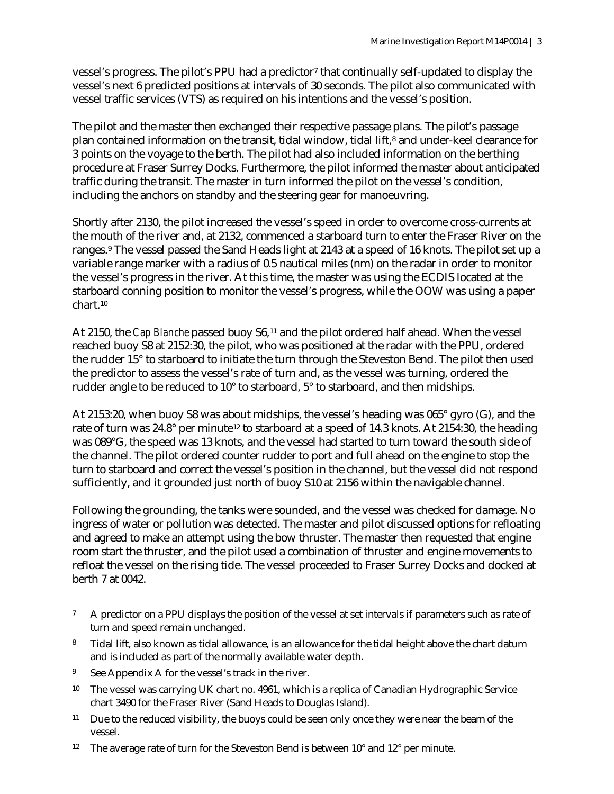vessel's progress. The pilot's PPU had a predictor[7](#page-4-0) that continually self-updated to display the vessel's next 6 predicted positions at intervals of 30 seconds. The pilot also communicated with vessel traffic services (VTS) as required on his intentions and the vessel's position.

The pilot and the master then exchanged their respective passage plans. The pilot's passage plan contained information on the transit, tidal window, tidal lift,<sup>[8](#page-4-1)</sup> and under-keel clearance for 3 points on the voyage to the berth. The pilot had also included information on the berthing procedure at Fraser Surrey Docks. Furthermore, the pilot informed the master about anticipated traffic during the transit. The master in turn informed the pilot on the vessel's condition, including the anchors on standby and the steering gear for manoeuvring.

Shortly after 2130, the pilot increased the vessel's speed in order to overcome cross-currents at the mouth of the river and, at 2132, commenced a starboard turn to enter the Fraser River on the ranges.[9](#page-4-2) The vessel passed the Sand Heads light at 2143 at a speed of 16 knots. The pilot set up a variable range marker with a radius of 0.5 nautical miles (nm) on the radar in order to monitor the vessel's progress in the river. At this time, the master was using the ECDIS located at the starboard conning position to monitor the vessel's progress, while the OOW was using a paper chart.[10](#page-4-3)

At 2150, the *Cap Blanche* passed buoy S6,[11](#page-4-4) and the pilot ordered half ahead. When the vessel reached buoy S8 at 2152:30, the pilot, who was positioned at the radar with the PPU, ordered the rudder 15° to starboard to initiate the turn through the Steveston Bend. The pilot then used the predictor to assess the vessel's rate of turn and, as the vessel was turning, ordered the rudder angle to be reduced to 10° to starboard, 5° to starboard, and then midships.

At 2153:20, when buoy S8 was about midships, the vessel's heading was 065° gyro (G), and the rate of turn was 24.8° per minute<sup>[12](#page-4-5)</sup> to starboard at a speed of 14.3 knots. At 2154:30, the heading was 089°G, the speed was 13 knots, and the vessel had started to turn toward the south side of the channel. The pilot ordered counter rudder to port and full ahead on the engine to stop the turn to starboard and correct the vessel's position in the channel, but the vessel did not respond sufficiently, and it grounded just north of buoy S10 at 2156 within the navigable channel.

Following the grounding, the tanks were sounded, and the vessel was checked for damage. No ingress of water or pollution was detected. The master and pilot discussed options for refloating and agreed to make an attempt using the bow thruster. The master then requested that engine room start the thruster, and the pilot used a combination of thruster and engine movements to refloat the vessel on the rising tide. The vessel proceeded to Fraser Surrey Docks and docked at berth 7 at 0042.

 $\overline{a}$ 

<span id="page-4-0"></span><sup>&</sup>lt;sup>7</sup> A predictor on a PPU displays the position of the vessel at set intervals if parameters such as rate of turn and speed remain unchanged.

<span id="page-4-1"></span><sup>8</sup> Tidal lift, also known as tidal allowance, is an allowance for the tidal height above the chart datum and is included as part of the normally available water depth.

<span id="page-4-2"></span><sup>&</sup>lt;sup>9</sup> See Appendix A for the vessel's track in the river.

<span id="page-4-3"></span><sup>&</sup>lt;sup>10</sup> The vessel was carrying UK chart no. 4961, which is a replica of Canadian Hydrographic Service chart 3490 for the Fraser River (Sand Heads to Douglas Island).

<span id="page-4-4"></span><sup>&</sup>lt;sup>11</sup> Due to the reduced visibility, the buoys could be seen only once they were near the beam of the vessel.

<span id="page-4-5"></span><sup>&</sup>lt;sup>12</sup> The average rate of turn for the Steveston Bend is between  $10^{\circ}$  and  $12^{\circ}$  per minute.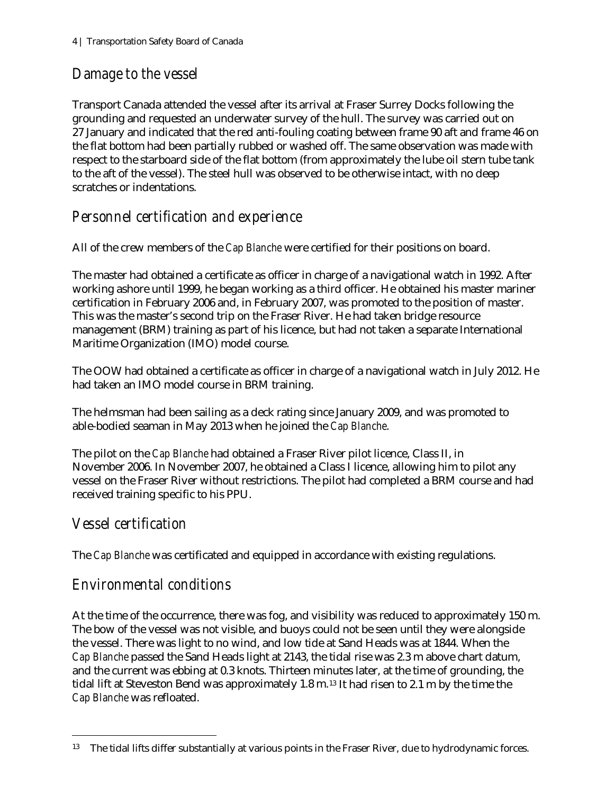# *Damage to the vessel*

Transport Canada attended the vessel after its arrival at Fraser Surrey Docks following the grounding and requested an underwater survey of the hull. The survey was carried out on 27 January and indicated that the red anti-fouling coating between frame 90 aft and frame 46 on the flat bottom had been partially rubbed or washed off. The same observation was made with respect to the starboard side of the flat bottom (from approximately the lube oil stern tube tank to the aft of the vessel). The steel hull was observed to be otherwise intact, with no deep scratches or indentations.

# *Personnel certification and experience*

All of the crew members of the *Cap Blanche* were certified for their positions on board.

The master had obtained a certificate as officer in charge of a navigational watch in 1992. After working ashore until 1999, he began working as a third officer. He obtained his master mariner certification in February 2006 and, in February 2007, was promoted to the position of master. This was the master's second trip on the Fraser River. He had taken bridge resource management (BRM) training as part of his licence, but had not taken a separate International Maritime Organization (IMO) model course.

The OOW had obtained a certificate as officer in charge of a navigational watch in July 2012. He had taken an IMO model course in BRM training.

The helmsman had been sailing as a deck rating since January 2009, and was promoted to able-bodied seaman in May 2013 when he joined the *Cap Blanche*.

The pilot on the *Cap Blanche* had obtained a Fraser River pilot licence, Class II, in November 2006. In November 2007, he obtained a Class I licence, allowing him to pilot any vessel on the Fraser River without restrictions. The pilot had completed a BRM course and had received training specific to his PPU.

### *Vessel certification*

 $\overline{a}$ 

The *Cap Blanche* was certificated and equipped in accordance with existing regulations.

### *Environmental conditions*

At the time of the occurrence, there was fog, and visibility was reduced to approximately 150 m. The bow of the vessel was not visible, and buoys could not be seen until they were alongside the vessel. There was light to no wind, and low tide at Sand Heads was at 1844. When the *Cap Blanche* passed the Sand Heads light at 2143, the tidal rise was 2.3 m above chart datum, and the current was ebbing at 0.3 knots. Thirteen minutes later, at the time of grounding, the tidal lift at Steveston Bend was approximately 1.8 m.<sup>[13](#page-5-0)</sup> It had risen to 2.1 m by the time the *Cap Blanche* was refloated.

<span id="page-5-0"></span><sup>&</sup>lt;sup>13</sup> The tidal lifts differ substantially at various points in the Fraser River, due to hydrodynamic forces.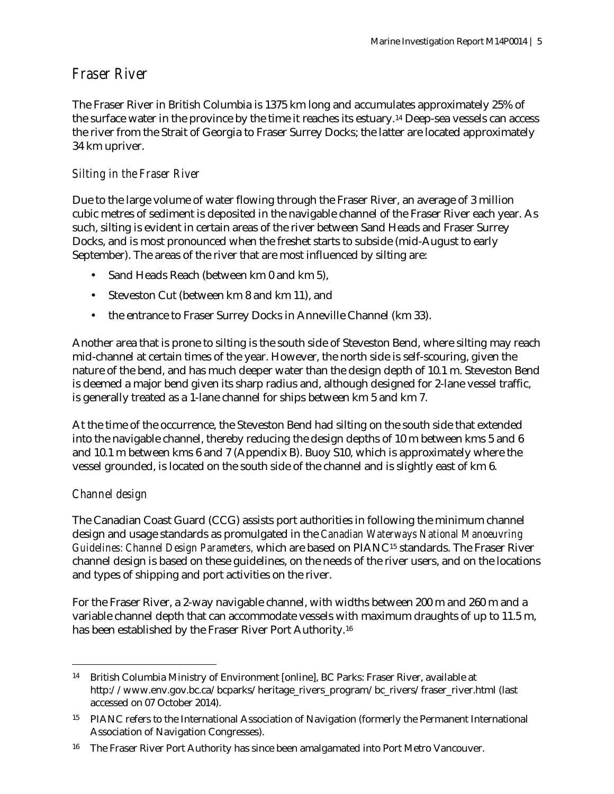#### *Fraser River*

The Fraser River in British Columbia is 1375 km long and accumulates approximately 25% of the surface water in the province by the time it reaches its estuary.[14](#page-6-0) Deep-sea vessels can access the river from the Strait of Georgia to Fraser Surrey Docks; the latter are located approximately 34 km upriver.

#### *Silting in the Fraser River*

Due to the large volume of water flowing through the Fraser River, an average of 3 million cubic metres of sediment is deposited in the navigable channel of the Fraser River each year. As such, silting is evident in certain areas of the river between Sand Heads and Fraser Surrey Docks, and is most pronounced when the freshet starts to subside (mid-August to early September). The areas of the river that are most influenced by silting are:

- Sand Heads Reach (between km 0 and km 5),
- L, Steveston Cut (between km 8 and km 11), and
- the entrance to Fraser Surrey Docks in Anneville Channel (km 33). ä,

Another area that is prone to silting is the south side of Steveston Bend, where silting may reach mid-channel at certain times of the year. However, the north side is self-scouring, given the nature of the bend, and has much deeper water than the design depth of 10.1 m. Steveston Bend is deemed a major bend given its sharp radius and, although designed for 2-lane vessel traffic, is generally treated as a 1-lane channel for ships between km 5 and km 7.

At the time of the occurrence, the Steveston Bend had silting on the south side that extended into the navigable channel, thereby reducing the design depths of 10 m between kms 5 and 6 and 10.1 m between kms 6 and 7 (Appendix B). Buoy S10, which is approximately where the vessel grounded, is located on the south side of the channel and is slightly east of km 6.

#### *Channel design*

 $\overline{a}$ 

The Canadian Coast Guard (CCG) assists port authorities in following the minimum channel design and usage standards as promulgated in the *Canadian Waterways National Manoeuvring Guidelines: Channel Design Parameters,* which are based on PIANC[15](#page-6-1) standards. The Fraser River channel design is based on these guidelines, on the needs of the river users, and on the locations and types of shipping and port activities on the river.

For the Fraser River, a 2-way navigable channel, with widths between 200 m and 260 m and a variable channel depth that can accommodate vessels with maximum draughts of up to 11.5 m, has been established by the Fraser River Port Authority.<sup>[16](#page-6-2)</sup>

<span id="page-6-0"></span><sup>14</sup> British Columbia Ministry of Environment [online], BC Parks: Fraser River, available at http://www.env.gov.bc.ca/bcparks/heritage\_rivers\_program/bc\_rivers/fraser\_river.html (last accessed on 07 October 2014).

<span id="page-6-1"></span><sup>15</sup> PIANC refers to the International Association of Navigation (formerly the Permanent International Association of Navigation Congresses).

<span id="page-6-2"></span><sup>&</sup>lt;sup>16</sup> The Fraser River Port Authority has since been amalgamated into Port Metro Vancouver.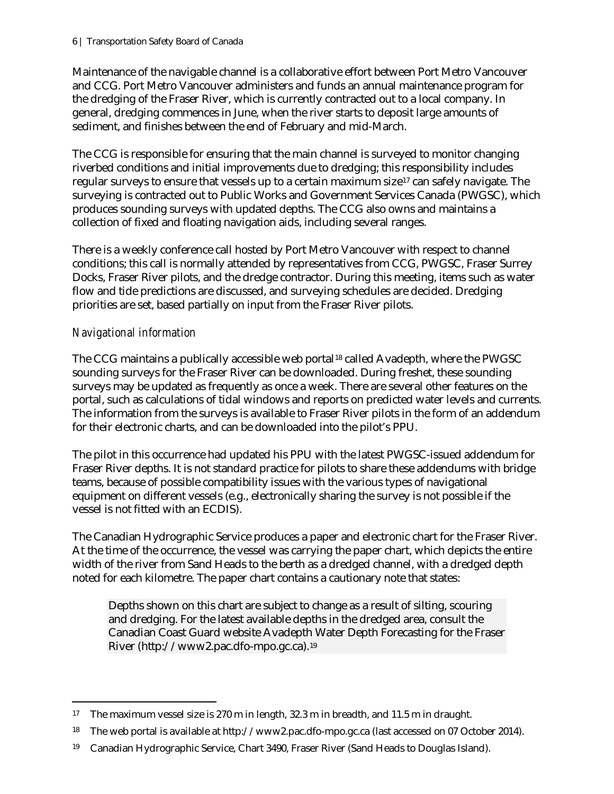Maintenance of the navigable channel is a collaborative effort between Port Metro Vancouver and CCG. Port Metro Vancouver administers and funds an annual maintenance program for the dredging of the Fraser River, which is currently contracted out to a local company. In general, dredging commences in June, when the river starts to deposit large amounts of sediment, and finishes between the end of February and mid-March.

The CCG is responsible for ensuring that the main channel is surveyed to monitor changing riverbed conditions and initial improvements due to dredging; this responsibility includes regular surveys to ensure that vessels up to a certain maximum size<sup>[17](#page-7-0)</sup> can safely navigate. The surveying is contracted out to Public Works and Government Services Canada (PWGSC), which produces sounding surveys with updated depths. The CCG also owns and maintains a collection of fixed and floating navigation aids, including several ranges.

There is a weekly conference call hosted by Port Metro Vancouver with respect to channel conditions; this call is normally attended by representatives from CCG, PWGSC, Fraser Surrey Docks, Fraser River pilots, and the dredge contractor. During this meeting, items such as water flow and tide predictions are discussed, and surveying schedules are decided. Dredging priorities are set, based partially on input from the Fraser River pilots.

#### *Navigational information*

 $\overline{a}$ 

The CCG maintains a publically accessible web portal<sup>[18](#page-7-1)</sup> called Avadepth, where the PWGSC sounding surveys for the Fraser River can be downloaded. During freshet, these sounding surveys may be updated as frequently as once a week. There are several other features on the portal, such as calculations of tidal windows and reports on predicted water levels and currents. The information from the surveys is available to Fraser River pilots in the form of an addendum for their electronic charts, and can be downloaded into the pilot's PPU.

The pilot in this occurrence had updated his PPU with the latest PWGSC-issued addendum for Fraser River depths. It is not standard practice for pilots to share these addendums with bridge teams, because of possible compatibility issues with the various types of navigational equipment on different vessels (e.g., electronically sharing the survey is not possible if the vessel is not fitted with an ECDIS).

The Canadian Hydrographic Service produces a paper and electronic chart for the Fraser River. At the time of the occurrence, the vessel was carrying the paper chart, which depicts the entire width of the river from Sand Heads to the berth as a dredged channel, with a dredged depth noted for each kilometre. The paper chart contains a cautionary note that states:

Depths shown on this chart are subject to change as a result of silting, scouring and dredging. For the latest available depths in the dredged area, consult the Canadian Coast Guard website Avadepth Water Depth Forecasting for the Fraser River (http://www2.pac.dfo-mpo.gc.ca).[19](#page-7-2)

<span id="page-7-0"></span><sup>&</sup>lt;sup>17</sup> The maximum vessel size is 270 m in length, 32.3 m in breadth, and 11.5 m in draught.

<span id="page-7-1"></span><sup>18</sup> The web portal is available at http://www2.pac.dfo-mpo.gc.ca (last accessed on 07 October 2014).

<span id="page-7-2"></span><sup>19</sup> Canadian Hydrographic Service, Chart 3490, Fraser River (Sand Heads to Douglas Island).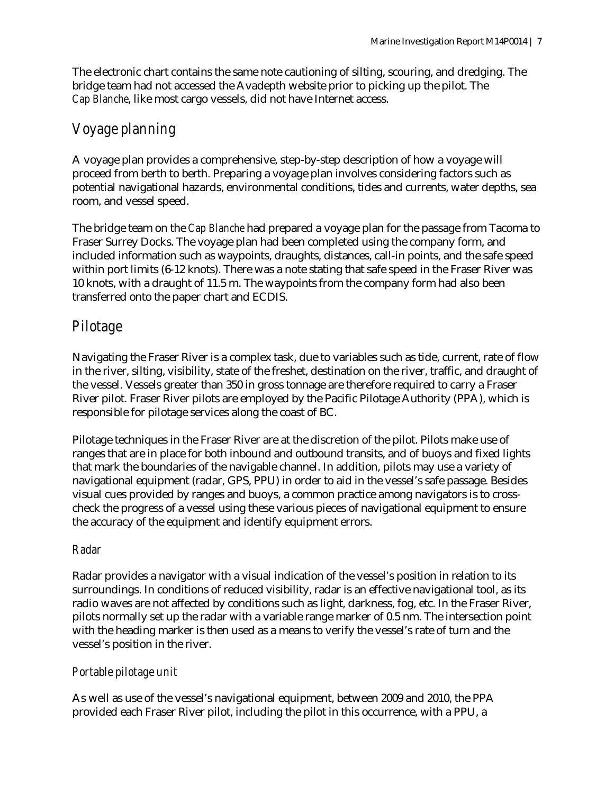The electronic chart contains the same note cautioning of silting, scouring, and dredging. The bridge team had not accessed the Avadepth website prior to picking up the pilot. The *Cap Blanche*, like most cargo vessels, did not have Internet access.

### *Voyage planning*

A voyage plan provides a comprehensive, step-by-step description of how a voyage will proceed from berth to berth. Preparing a voyage plan involves considering factors such as potential navigational hazards, environmental conditions, tides and currents, water depths, sea room, and vessel speed.

The bridge team on the *Cap Blanche* had prepared a voyage plan for the passage from Tacoma to Fraser Surrey Docks. The voyage plan had been completed using the company form, and included information such as waypoints, draughts, distances, call-in points, and the safe speed within port limits (6-12 knots). There was a note stating that safe speed in the Fraser River was 10 knots, with a draught of 11.5 m. The waypoints from the company form had also been transferred onto the paper chart and ECDIS.

# *Pilotage*

Navigating the Fraser River is a complex task, due to variables such as tide, current, rate of flow in the river, silting, visibility, state of the freshet, destination on the river, traffic, and draught of the vessel. Vessels greater than 350 in gross tonnage are therefore required to carry a Fraser River pilot. Fraser River pilots are employed by the Pacific Pilotage Authority (PPA), which is responsible for pilotage services along the coast of BC.

Pilotage techniques in the Fraser River are at the discretion of the pilot. Pilots make use of ranges that are in place for both inbound and outbound transits, and of buoys and fixed lights that mark the boundaries of the navigable channel. In addition, pilots may use a variety of navigational equipment (radar, GPS, PPU) in order to aid in the vessel's safe passage. Besides visual cues provided by ranges and buoys, a common practice among navigators is to crosscheck the progress of a vessel using these various pieces of navigational equipment to ensure the accuracy of the equipment and identify equipment errors.

#### *Radar*

Radar provides a navigator with a visual indication of the vessel's position in relation to its surroundings. In conditions of reduced visibility, radar is an effective navigational tool, as its radio waves are not affected by conditions such as light, darkness, fog, etc. In the Fraser River, pilots normally set up the radar with a variable range marker of 0.5 nm. The intersection point with the heading marker is then used as a means to verify the vessel's rate of turn and the vessel's position in the river.

#### *Portable pilotage unit*

As well as use of the vessel's navigational equipment, between 2009 and 2010, the PPA provided each Fraser River pilot, including the pilot in this occurrence, with a PPU, a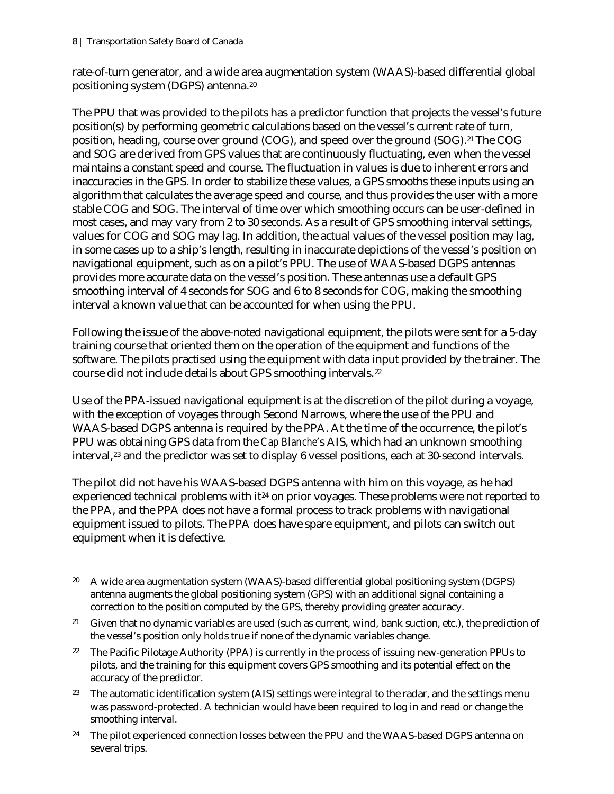$\overline{a}$ 

rate-of-turn generator, and a wide area augmentation system (WAAS)-based differential global positioning system (DGPS) antenna.[20](#page-9-0)

The PPU that was provided to the pilots has a predictor function that projects the vessel's future position(s) by performing geometric calculations based on the vessel's current rate of turn, position, heading, course over ground (COG), and speed over the ground (SOG).[21](#page-9-1) The COG and SOG are derived from GPS values that are continuously fluctuating, even when the vessel maintains a constant speed and course. The fluctuation in values is due to inherent errors and inaccuracies in the GPS. In order to stabilize these values, a GPS smooths these inputs using an algorithm that calculates the average speed and course, and thus provides the user with a more stable COG and SOG. The interval of time over which smoothing occurs can be user-defined in most cases, and may vary from 2 to 30 seconds. As a result of GPS smoothing interval settings, values for COG and SOG may lag. In addition, the actual values of the vessel position may lag, in some cases up to a ship's length, resulting in inaccurate depictions of the vessel's position on navigational equipment, such as on a pilot's PPU. The use of WAAS-based DGPS antennas provides more accurate data on the vessel's position. These antennas use a default GPS smoothing interval of 4 seconds for SOG and 6 to 8 seconds for COG, making the smoothing interval a known value that can be accounted for when using the PPU.

Following the issue of the above-noted navigational equipment, the pilots were sent for a 5-day training course that oriented them on the operation of the equipment and functions of the software. The pilots practised using the equipment with data input provided by the trainer. The course did not include details about GPS smoothing intervals.[22](#page-9-2)

Use of the PPA-issued navigational equipment is at the discretion of the pilot during a voyage, with the exception of voyages through Second Narrows, where the use of the PPU and WAAS-based DGPS antenna is required by the PPA. At the time of the occurrence, the pilot's PPU was obtaining GPS data from the *Cap Blanche*'s AIS, which had an unknown smoothing interval,[23](#page-9-3) and the predictor was set to display 6 vessel positions, each at 30-second intervals.

The pilot did not have his WAAS-based DGPS antenna with him on this voyage, as he had experienced technical problems with it<sup>[24](#page-9-4)</sup> on prior voyages. These problems were not reported to the PPA, and the PPA does not have a formal process to track problems with navigational equipment issued to pilots. The PPA does have spare equipment, and pilots can switch out equipment when it is defective.

<span id="page-9-0"></span><sup>20</sup> A wide area augmentation system (WAAS)-based differential global positioning system (DGPS) antenna augments the global positioning system (GPS) with an additional signal containing a correction to the position computed by the GPS, thereby providing greater accuracy.

<span id="page-9-1"></span><sup>&</sup>lt;sup>21</sup> Given that no dynamic variables are used (such as current, wind, bank suction, etc.), the prediction of the vessel's position only holds true if none of the dynamic variables change.

<span id="page-9-2"></span><sup>22</sup> The Pacific Pilotage Authority (PPA) is currently in the process of issuing new-generation PPUs to pilots, and the training for this equipment covers GPS smoothing and its potential effect on the accuracy of the predictor.

<span id="page-9-3"></span><sup>&</sup>lt;sup>23</sup> The automatic identification system (AIS) settings were integral to the radar, and the settings menu was password-protected. A technician would have been required to log in and read or change the smoothing interval.

<span id="page-9-4"></span><sup>&</sup>lt;sup>24</sup> The pilot experienced connection losses between the PPU and the WAAS-based DGPS antenna on several trips.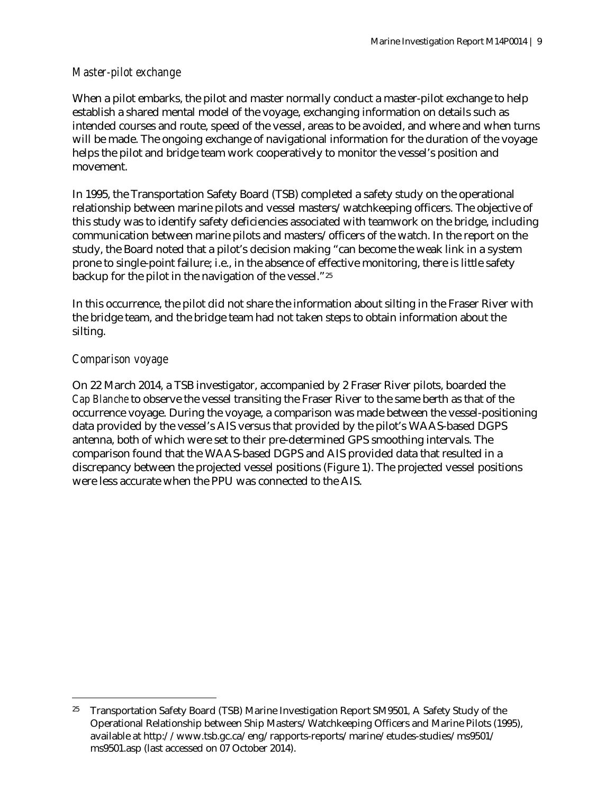#### *Master-pilot exchange*

When a pilot embarks, the pilot and master normally conduct a master-pilot exchange to help establish a shared mental model of the voyage, exchanging information on details such as intended courses and route, speed of the vessel, areas to be avoided, and where and when turns will be made. The ongoing exchange of navigational information for the duration of the voyage helps the pilot and bridge team work cooperatively to monitor the vessel's position and movement.

In 1995, the Transportation Safety Board (TSB) completed a safety study on the operational relationship between marine pilots and vessel masters/watchkeeping officers. The objective of this study was to identify safety deficiencies associated with teamwork on the bridge, including communication between marine pilots and masters/officers of the watch. In the report on the study, the Board noted that a pilot's decision making "can become the weak link in a system prone to single-point failure; i.e., in the absence of effective monitoring, there is little safety backup for the pilot in the navigation of the vessel."[25](#page-10-0)

In this occurrence, the pilot did not share the information about silting in the Fraser River with the bridge team, and the bridge team had not taken steps to obtain information about the silting.

#### *Comparison voyage*

 $\overline{a}$ 

On 22 March 2014, a TSB investigator, accompanied by 2 Fraser River pilots, boarded the *Cap Blanche* to observe the vessel transiting the Fraser River to the same berth as that of the occurrence voyage. During the voyage, a comparison was made between the vessel-positioning data provided by the vessel's AIS versus that provided by the pilot's WAAS-based DGPS antenna, both of which were set to their pre-determined GPS smoothing intervals. The comparison found that the WAAS-based DGPS and AIS provided data that resulted in a discrepancy between the projected vessel positions (Figure 1). The projected vessel positions were less accurate when the PPU was connected to the AIS.

<span id="page-10-0"></span><sup>25</sup> Transportation Safety Board (TSB) Marine Investigation Report SM9501*,* A Safety Study of the Operational Relationship between Ship Masters/Watchkeeping Officers and Marine Pilots (1995), available at [http://www.tsb.gc.ca/eng/rapports-reports/marine/etudes-studies/ms9501/](http://www.tsb.gc.ca/eng/rapports-reports/marine/etudes-studies/ms9501/ms9501.asp) [ms9501.asp](http://www.tsb.gc.ca/eng/rapports-reports/marine/etudes-studies/ms9501/ms9501.asp) (last accessed on 07 October 2014).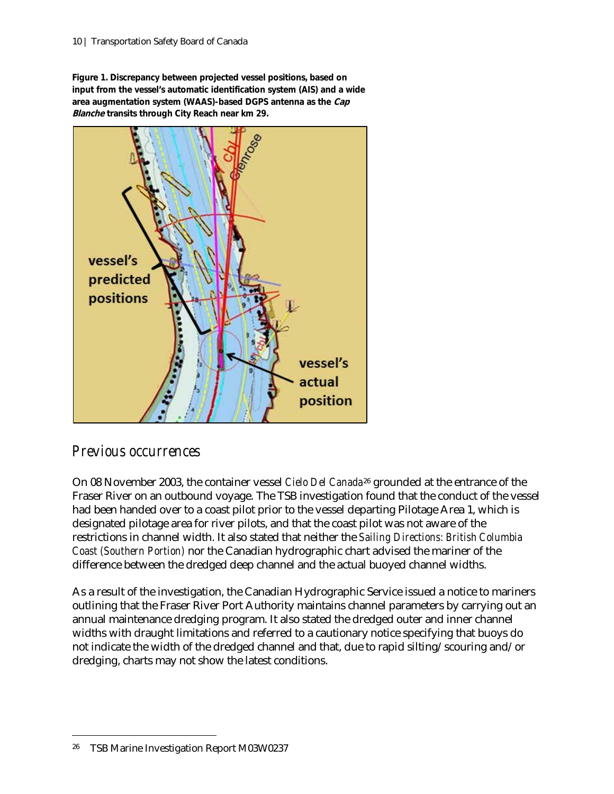**Figure 1. Discrepancy between projected vessel positions, based on input from the vessel's automatic identification system (AIS) and a wide area augmentation system (WAAS)-based DGPS antenna as the Cap Blanche transits through City Reach near km 29.**



#### *Previous occurrences*

On 08 November 2003, the container vessel *Cielo Del Canada*[26](#page-11-0) grounded at the entrance of the Fraser River on an outbound voyage. The TSB investigation found that the conduct of the vessel had been handed over to a coast pilot prior to the vessel departing Pilotage Area 1, which is designated pilotage area for river pilots, and that the coast pilot was not aware of the restrictions in channel width. It also stated that neither the *Sailing Directions: British Columbia Coast (Southern Portion)* nor the Canadian hydrographic chart advised the mariner of the difference between the dredged deep channel and the actual buoyed channel widths.

As a result of the investigation, the Canadian Hydrographic Service issued a notice to mariners outlining that the Fraser River Port Authority maintains channel parameters by carrying out an annual maintenance dredging program. It also stated the dredged outer and inner channel widths with draught limitations and referred to a cautionary notice specifying that buoys do not indicate the width of the dredged channel and that, due to rapid silting/scouring and/or dredging, charts may not show the latest conditions.

 $\overline{a}$ 

<span id="page-11-0"></span><sup>26</sup> TSB Marine Investigation Report M03W0237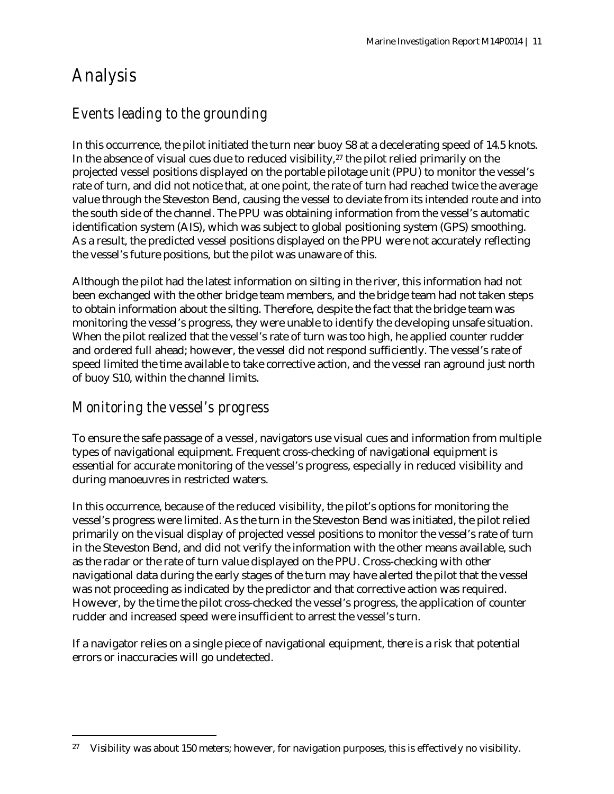# *Analysis*

# *Events leading to the grounding*

In this occurrence, the pilot initiated the turn near buoy S8 at a decelerating speed of 14.5 knots. In the absence of visual cues due to reduced visibility,<sup>[27](#page-12-0)</sup> the pilot relied primarily on the projected vessel positions displayed on the portable pilotage unit (PPU) to monitor the vessel's rate of turn, and did not notice that, at one point, the rate of turn had reached twice the average value through the Steveston Bend, causing the vessel to deviate from its intended route and into the south side of the channel. The PPU was obtaining information from the vessel's automatic identification system (AIS), which was subject to global positioning system (GPS) smoothing. As a result, the predicted vessel positions displayed on the PPU were not accurately reflecting the vessel's future positions, but the pilot was unaware of this.

Although the pilot had the latest information on silting in the river, this information had not been exchanged with the other bridge team members, and the bridge team had not taken steps to obtain information about the silting. Therefore, despite the fact that the bridge team was monitoring the vessel's progress, they were unable to identify the developing unsafe situation. When the pilot realized that the vessel's rate of turn was too high, he applied counter rudder and ordered full ahead; however, the vessel did not respond sufficiently. The vessel's rate of speed limited the time available to take corrective action, and the vessel ran aground just north of buoy S10, within the channel limits.

### *Monitoring the vessel's progress*

 $\overline{a}$ 

To ensure the safe passage of a vessel, navigators use visual cues and information from multiple types of navigational equipment. Frequent cross-checking of navigational equipment is essential for accurate monitoring of the vessel's progress, especially in reduced visibility and during manoeuvres in restricted waters.

In this occurrence, because of the reduced visibility, the pilot's options for monitoring the vessel's progress were limited. As the turn in the Steveston Bend was initiated, the pilot relied primarily on the visual display of projected vessel positions to monitor the vessel's rate of turn in the Steveston Bend, and did not verify the information with the other means available, such as the radar or the rate of turn value displayed on the PPU. Cross-checking with other navigational data during the early stages of the turn may have alerted the pilot that the vessel was not proceeding as indicated by the predictor and that corrective action was required. However, by the time the pilot cross-checked the vessel's progress, the application of counter rudder and increased speed were insufficient to arrest the vessel's turn.

If a navigator relies on a single piece of navigational equipment, there is a risk that potential errors or inaccuracies will go undetected.

<span id="page-12-0"></span><sup>&</sup>lt;sup>27</sup> Visibility was about 150 meters; however, for navigation purposes, this is effectively no visibility.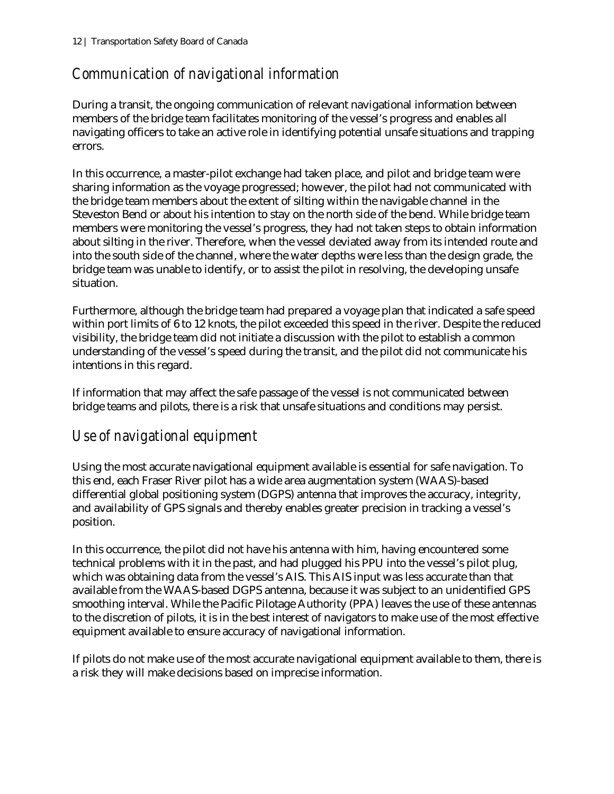# *Communication of navigational information*

During a transit, the ongoing communication of relevant navigational information between members of the bridge team facilitates monitoring of the vessel's progress and enables all navigating officers to take an active role in identifying potential unsafe situations and trapping errors.

In this occurrence, a master-pilot exchange had taken place, and pilot and bridge team were sharing information as the voyage progressed; however, the pilot had not communicated with the bridge team members about the extent of silting within the navigable channel in the Steveston Bend or about his intention to stay on the north side of the bend. While bridge team members were monitoring the vessel's progress, they had not taken steps to obtain information about silting in the river. Therefore, when the vessel deviated away from its intended route and into the south side of the channel, where the water depths were less than the design grade, the bridge team was unable to identify, or to assist the pilot in resolving, the developing unsafe situation.

Furthermore, although the bridge team had prepared a voyage plan that indicated a safe speed within port limits of 6 to 12 knots, the pilot exceeded this speed in the river. Despite the reduced visibility, the bridge team did not initiate a discussion with the pilot to establish a common understanding of the vessel's speed during the transit, and the pilot did not communicate his intentions in this regard.

If information that may affect the safe passage of the vessel is not communicated between bridge teams and pilots, there is a risk that unsafe situations and conditions may persist.

### *Use of navigational equipment*

Using the most accurate navigational equipment available is essential for safe navigation. To this end, each Fraser River pilot has a wide area augmentation system (WAAS)-based differential global positioning system (DGPS) antenna that improves the accuracy, integrity, and availability of GPS signals and thereby enables greater precision in tracking a vessel's position.

In this occurrence, the pilot did not have his antenna with him, having encountered some technical problems with it in the past, and had plugged his PPU into the vessel's pilot plug, which was obtaining data from the vessel's AIS. This AIS input was less accurate than that available from the WAAS-based DGPS antenna, because it was subject to an unidentified GPS smoothing interval. While the Pacific Pilotage Authority (PPA) leaves the use of these antennas to the discretion of pilots, it is in the best interest of navigators to make use of the most effective equipment available to ensure accuracy of navigational information.

If pilots do not make use of the most accurate navigational equipment available to them, there is a risk they will make decisions based on imprecise information.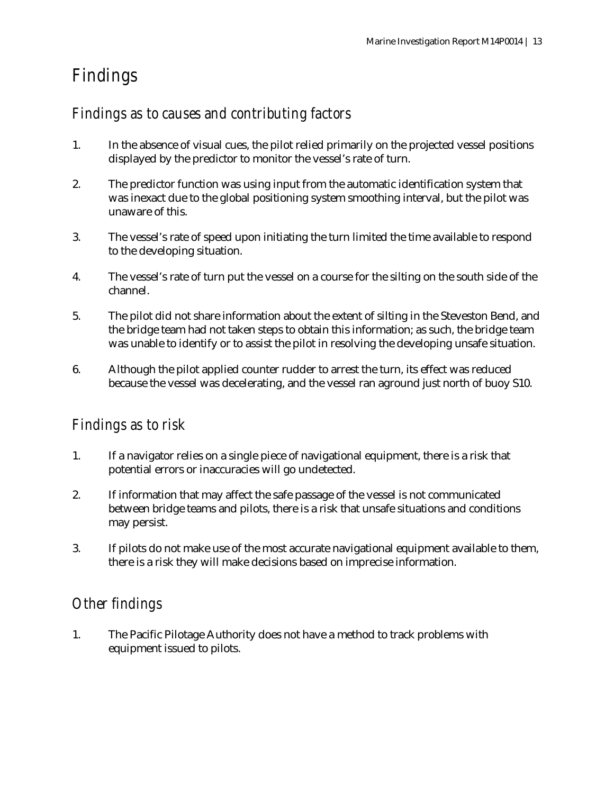# *Findings*

### *Findings as to causes and contributing factors*

- 1. In the absence of visual cues, the pilot relied primarily on the projected vessel positions displayed by the predictor to monitor the vessel's rate of turn.
- 2. The predictor function was using input from the automatic identification system that was inexact due to the global positioning system smoothing interval, but the pilot was unaware of this.
- 3. The vessel's rate of speed upon initiating the turn limited the time available to respond to the developing situation.
- 4. The vessel's rate of turn put the vessel on a course for the silting on the south side of the channel.
- 5. The pilot did not share information about the extent of silting in the Steveston Bend, and the bridge team had not taken steps to obtain this information; as such, the bridge team was unable to identify or to assist the pilot in resolving the developing unsafe situation.
- 6. Although the pilot applied counter rudder to arrest the turn, its effect was reduced because the vessel was decelerating, and the vessel ran aground just north of buoy S10.

#### *Findings as to risk*

- 1. If a navigator relies on a single piece of navigational equipment, there is a risk that potential errors or inaccuracies will go undetected.
- 2. If information that may affect the safe passage of the vessel is not communicated between bridge teams and pilots, there is a risk that unsafe situations and conditions may persist.
- 3. If pilots do not make use of the most accurate navigational equipment available to them, there is a risk they will make decisions based on imprecise information.

### *Other findings*

1. The Pacific Pilotage Authority does not have a method to track problems with equipment issued to pilots.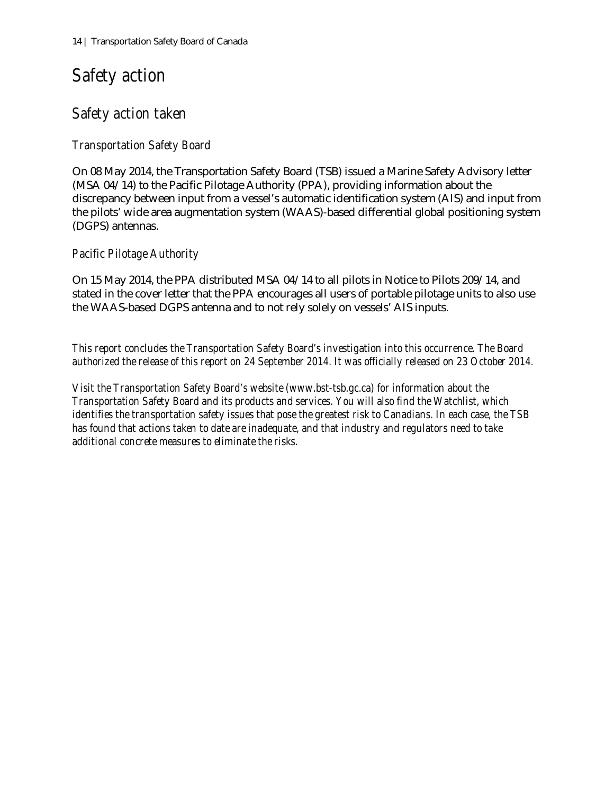# *Safety action*

### *Safety action taken*

#### *Transportation Safety Board*

On 08 May 2014, the Transportation Safety Board (TSB) issued a Marine Safety Advisory letter (MSA 04/14) to the Pacific Pilotage Authority (PPA), providing information about the discrepancy between input from a vessel's automatic identification system (AIS) and input from the pilots' wide area augmentation system (WAAS)-based differential global positioning system (DGPS) antennas.

#### *Pacific Pilotage Authority*

On 15 May 2014, the PPA distributed MSA 04/14 to all pilots in Notice to Pilots 209/14, and stated in the cover letter that the PPA encourages all users of portable pilotage units to also use the WAAS-based DGPS antenna and to not rely solely on vessels' AIS inputs.

*This report concludes the Transportation Safety Board's investigation into this occurrence. The Board authorized the release of this report on 24 September 2014. It was officially released on 23 October 2014.*

*Visit the Transportation Safety Board's website [\(www.bst-tsb.gc.ca\)](http://www.bst-tsb.gc.ca/) for information about the Transportation Safety Board and its products and services. You will also find the Watchlist, which identifies the transportation safety issues that pose the greatest risk to Canadians. In each case, the TSB has found that actions taken to date are inadequate, and that industry and regulators need to take additional concrete measures to eliminate the risks.*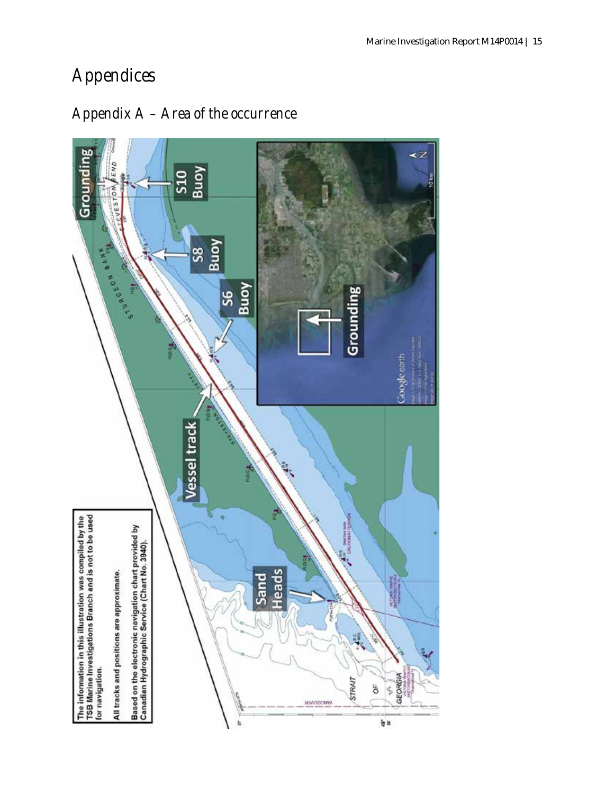# *Appendices*



# *Appendix A – Area of the occurrence*